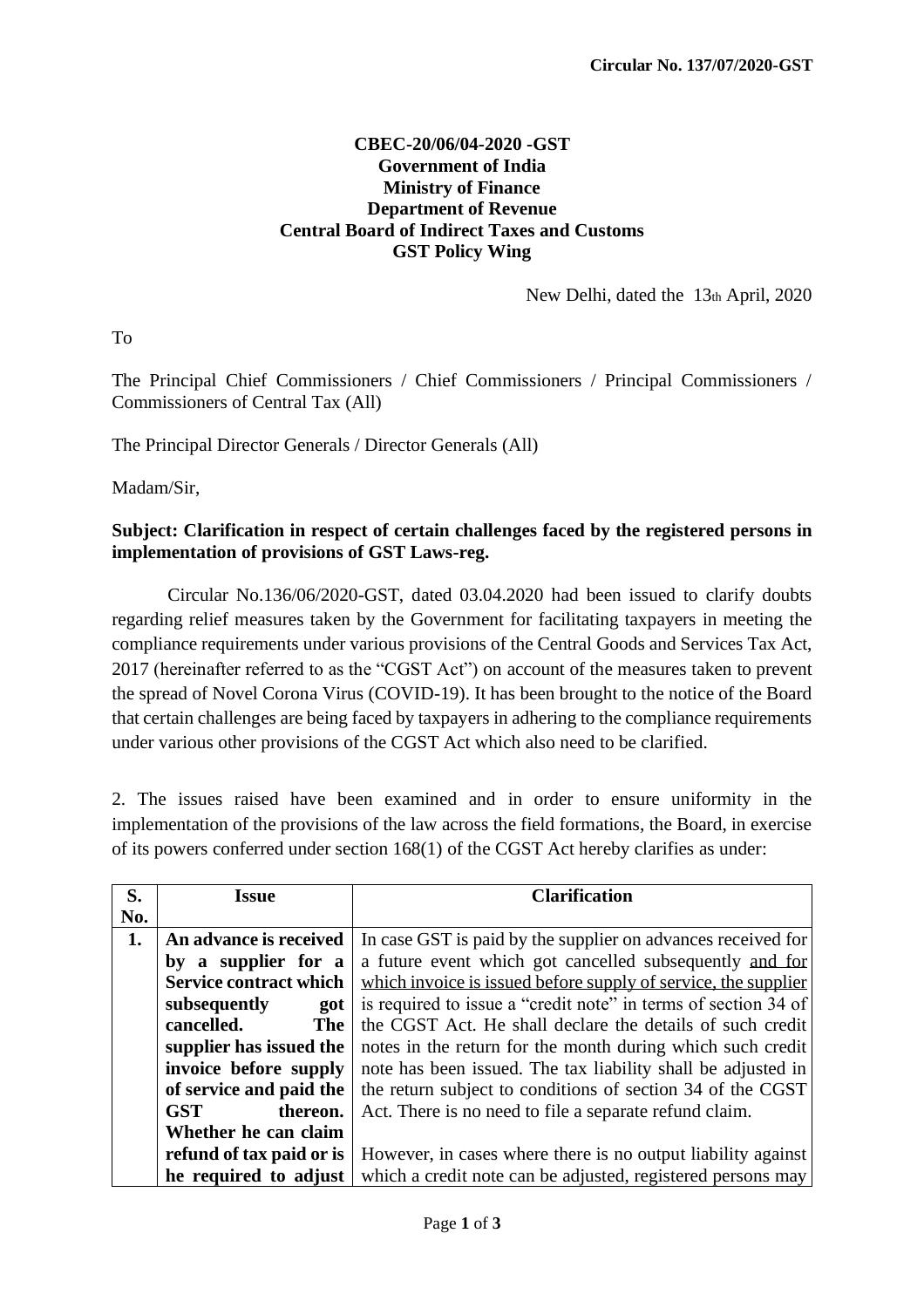## **CBEC-20/06/04-2020 -GST Government of India Ministry of Finance Department of Revenue Central Board of Indirect Taxes and Customs GST Policy Wing**

New Delhi, dated the 13th April, 2020

To

The Principal Chief Commissioners / Chief Commissioners / Principal Commissioners / Commissioners of Central Tax (All)

The Principal Director Generals / Director Generals (All)

Madam/Sir,

## **Subject: Clarification in respect of certain challenges faced by the registered persons in implementation of provisions of GST Laws-reg.**

Circular No.136/06/2020-GST, dated 03.04.2020 had been issued to clarify doubts regarding relief measures taken by the Government for facilitating taxpayers in meeting the compliance requirements under various provisions of the Central Goods and Services Tax Act, 2017 (hereinafter referred to as the "CGST Act") on account of the measures taken to prevent the spread of Novel Corona Virus (COVID-19). It has been brought to the notice of the Board that certain challenges are being faced by taxpayers in adhering to the compliance requirements under various other provisions of the CGST Act which also need to be clarified.

2. The issues raised have been examined and in order to ensure uniformity in the implementation of the provisions of the law across the field formations, the Board, in exercise of its powers conferred under section 168(1) of the CGST Act hereby clarifies as under:

| S.  | <b>Issue</b>                  | <b>Clarification</b>                                           |
|-----|-------------------------------|----------------------------------------------------------------|
| No. |                               |                                                                |
| 1.  | An advance is received        | In case GST is paid by the supplier on advances received for   |
|     | by a supplier for a           | a future event which got cancelled subsequently and for        |
|     | <b>Service contract which</b> | which invoice is issued before supply of service, the supplier |
|     | subsequently<br>got           | is required to issue a "credit note" in terms of section 34 of |
|     | cancelled.<br><b>The</b>      | the CGST Act. He shall declare the details of such credit      |
|     | supplier has issued the       | notes in the return for the month during which such credit     |
|     | invoice before supply         | note has been issued. The tax liability shall be adjusted in   |
|     | of service and paid the       | the return subject to conditions of section 34 of the CGST     |
|     | <b>GST</b><br>thereon.        | Act. There is no need to file a separate refund claim.         |
|     | Whether he can claim          |                                                                |
|     | refund of tax paid or is      | However, in cases where there is no output liability against   |
|     | he required to adjust         | which a credit note can be adjusted, registered persons may    |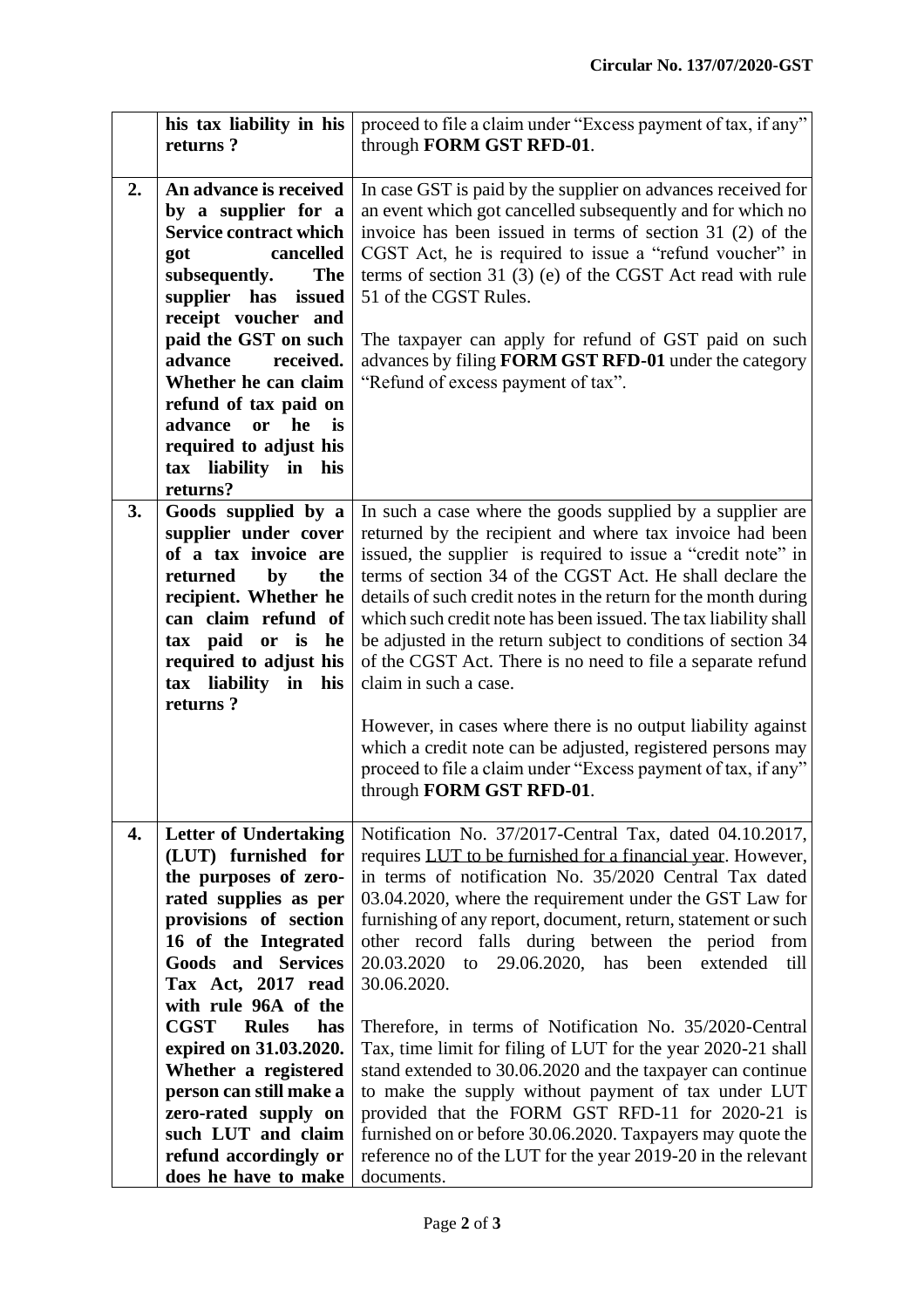|    | his tax liability in his<br>returns?                                                                                                                                                                                                                                                                                                                                                                                                                | proceed to file a claim under "Excess payment of tax, if any"<br>through FORM GST RFD-01.                                                                                                                                                                                                                                                                                                                                                                                                                                                                                                                                                                                                                                                                                                                                                                                                           |
|----|-----------------------------------------------------------------------------------------------------------------------------------------------------------------------------------------------------------------------------------------------------------------------------------------------------------------------------------------------------------------------------------------------------------------------------------------------------|-----------------------------------------------------------------------------------------------------------------------------------------------------------------------------------------------------------------------------------------------------------------------------------------------------------------------------------------------------------------------------------------------------------------------------------------------------------------------------------------------------------------------------------------------------------------------------------------------------------------------------------------------------------------------------------------------------------------------------------------------------------------------------------------------------------------------------------------------------------------------------------------------------|
|    |                                                                                                                                                                                                                                                                                                                                                                                                                                                     |                                                                                                                                                                                                                                                                                                                                                                                                                                                                                                                                                                                                                                                                                                                                                                                                                                                                                                     |
| 2. | An advance is received<br>by a supplier for a<br><b>Service contract which</b><br>cancelled<br>got<br>subsequently.<br><b>The</b><br>supplier has issued<br>receipt voucher and<br>paid the GST on such<br>advance<br>received.<br>Whether he can claim<br>refund of tax paid on<br>advance<br>or he<br>is<br>required to adjust his<br>tax liability in his<br>returns?                                                                            | In case GST is paid by the supplier on advances received for<br>an event which got cancelled subsequently and for which no<br>invoice has been issued in terms of section 31 (2) of the<br>CGST Act, he is required to issue a "refund voucher" in<br>terms of section 31 (3) (e) of the CGST Act read with rule<br>51 of the CGST Rules.<br>The taxpayer can apply for refund of GST paid on such<br>advances by filing FORM GST RFD-01 under the category<br>"Refund of excess payment of tax".                                                                                                                                                                                                                                                                                                                                                                                                   |
| 3. | Goods supplied by a<br>supplier under cover<br>of a tax invoice are<br>by<br>the<br>returned<br>recipient. Whether he<br>can claim refund of<br>tax paid or is<br>he<br>required to adjust his<br>tax liability in his<br>returns?                                                                                                                                                                                                                  | In such a case where the goods supplied by a supplier are<br>returned by the recipient and where tax invoice had been<br>issued, the supplier is required to issue a "credit note" in<br>terms of section 34 of the CGST Act. He shall declare the<br>details of such credit notes in the return for the month during<br>which such credit note has been issued. The tax liability shall<br>be adjusted in the return subject to conditions of section 34<br>of the CGST Act. There is no need to file a separate refund<br>claim in such a case.<br>However, in cases where there is no output liability against<br>which a credit note can be adjusted, registered persons may<br>proceed to file a claim under "Excess payment of tax, if any"<br>through FORM GST RFD-01.                                                                                                                       |
| 4. | <b>Letter of Undertaking</b><br>(LUT) furnished for<br>the purposes of zero-<br>rated supplies as per<br>provisions of section<br>16 of the Integrated<br><b>Goods and Services</b><br>Tax Act, 2017 read<br>with rule 96A of the<br><b>CGST</b><br><b>Rules</b><br>has<br>expired on 31.03.2020.<br>Whether a registered<br>person can still make a<br>zero-rated supply on<br>such LUT and claim<br>refund accordingly or<br>does he have to make | Notification No. 37/2017-Central Tax, dated 04.10.2017,<br>requires LUT to be furnished for a financial year. However,<br>in terms of notification No. 35/2020 Central Tax dated<br>03.04.2020, where the requirement under the GST Law for<br>furnishing of any report, document, return, statement or such<br>other record falls during between the period from<br>20.03.2020<br>29.06.2020, has<br>been<br>to<br>extended<br>till<br>30.06.2020.<br>Therefore, in terms of Notification No. 35/2020-Central<br>Tax, time limit for filing of LUT for the year 2020-21 shall<br>stand extended to 30.06.2020 and the taxpayer can continue<br>to make the supply without payment of tax under LUT<br>provided that the FORM GST RFD-11 for 2020-21 is<br>furnished on or before 30.06.2020. Taxpayers may quote the<br>reference no of the LUT for the year 2019-20 in the relevant<br>documents. |